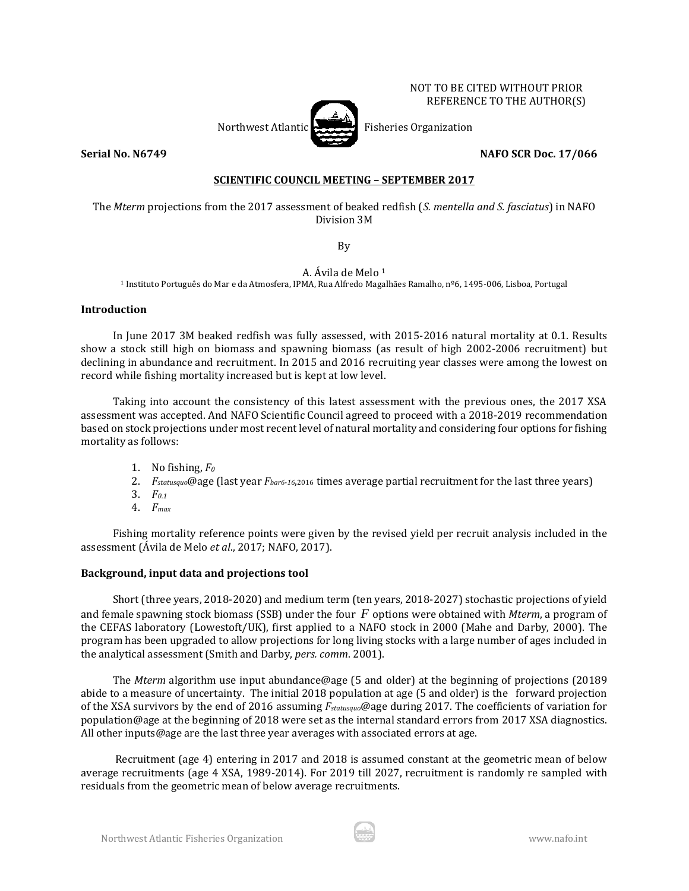## NOT TO BE CITED WITHOUT PRIOR REFERENCE TO THE AUTHOR(S)

Northwest Atlantic **Fisheries** Fisheries Organization

**Serial No. N6749 NAFO SCR Doc. 17/066**

# **SCIENTIFIC COUNCIL MEETING – SEPTEMBER 2017**

The *Mterm* projections from the 2017 assessment of beaked redfish (*S. mentella and S. fasciatus*) in NAFO Division 3M

By

A. Ávila de Melo <sup>1</sup>

<sup>1</sup> Instituto Português do Mar e da Atmosfera, IPMA, Rua Alfredo Magalhães Ramalho, nº6, 1495-006, Lisboa, Portugal

# **Introduction**

In June 2017 3M beaked redfish was fully assessed, with 2015-2016 natural mortality at 0.1. Results show a stock still high on biomass and spawning biomass (as result of high 2002-2006 recruitment) but declining in abundance and recruitment. In 2015 and 2016 recruiting year classes were among the lowest on record while fishing mortality increased but is kept at low level.

Taking into account the consistency of this latest assessment with the previous ones, the 2017 XSA assessment was accepted. And NAFO Scientific Council agreed to proceed with a 2018-2019 recommendation based on stock projections under most recent level of natural mortality and considering four options for fishing mortality as follows:

- 1. No fishing, *F<sup>0</sup>*
- 2. *Fstatusquo*@age (last year *Fbar6-16*,2016 times average partial recruitment for the last three years)
- 3. *F0.1*
- 4. *Fmax*

Fishing mortality reference points were given by the revised yield per recruit analysis included in the assessment (Ávila de Melo *et al*., 2017; NAFO, 2017).

## **Background, input data and projections tool**

Short (three years, 2018-2020) and medium term (ten years, 2018-2027) stochastic projections of yield and female spawning stock biomass (SSB) under the four *F* options were obtained with *Mterm*, a program of the CEFAS laboratory (Lowestoft/UK), first applied to a NAFO stock in 2000 (Mahe and Darby, 2000). The program has been upgraded to allow projections for long living stocks with a large number of ages included in the analytical assessment (Smith and Darby, *pers. comm*. 2001).

The *Mterm* algorithm use input abundance@age (5 and older) at the beginning of projections (20189 abide to a measure of uncertainty. The initial 2018 population at age (5 and older) is the forward projection of the XSA survivors by the end of 2016 assuming *Fstatusquo*@age during 2017. The coefficients of variation for population@age at the beginning of 2018 were set as the internal standard errors from 2017 XSA diagnostics. All other inputs@age are the last three year averages with associated errors at age.

Recruitment (age 4) entering in 2017 and 2018 is assumed constant at the geometric mean of below average recruitments (age 4 XSA, 1989-2014). For 2019 till 2027, recruitment is randomly re sampled with residuals from the geometric mean of below average recruitments.

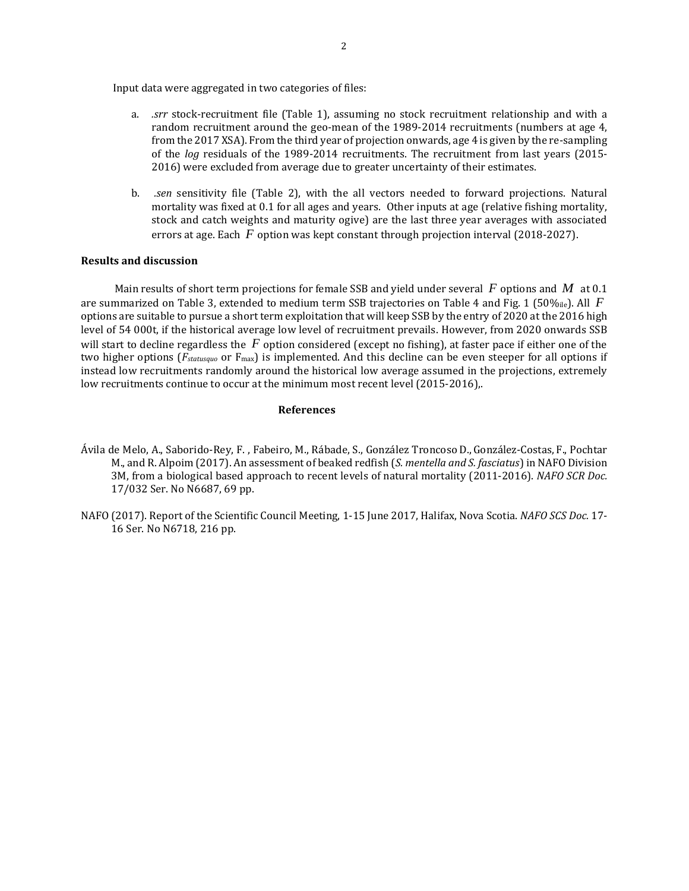Input data were aggregated in two categories of files:

- a. *.srr* stock-recruitment file (Table 1), assuming no stock recruitment relationship and with a random recruitment around the geo-mean of the 1989-2014 recruitments (numbers at age 4, from the 2017 XSA). From the third year of projection onwards, age 4 is given by the re-sampling of the *log* residuals of the 1989-2014 recruitments. The recruitment from last years (2015- 2016) were excluded from average due to greater uncertainty of their estimates.
- b. *.sen* sensitivity file (Table 2), with the all vectors needed to forward projections. Natural mortality was fixed at 0.1 for all ages and years. Other inputs at age (relative fishing mortality, stock and catch weights and maturity ogive) are the last three year averages with associated errors at age. Each  $F$  option was kept constant through projection interval (2018-2027).

## **Results and discussion**

Main results of short term projections for female SSB and yield under several  $\,F$  options and  $\,M\,$  at 0.1  $\,$ are summarized on Table 3, extended to medium term SSB trajectories on Table 4 and Fig. 1 (50‰ie). All F options are suitable to pursue a short term exploitation that will keep SSB by the entry of 2020 at the 2016 high level of 54 000t, if the historical average low level of recruitment prevails. However, from 2020 onwards SSB will start to decline regardless the  $F$  option considered (except no fishing), at faster pace if either one of the two higher options (*Fstatusquo* or Fmax) is implemented. And this decline can be even steeper for all options if instead low recruitments randomly around the historical low average assumed in the projections, extremely low recruitments continue to occur at the minimum most recent level (2015-2016),.

#### **References**

- Ávila de Melo, A., Saborido-Rey, F. , Fabeiro, M., Rábade, S., González Troncoso D., González-Costas, F., Pochtar M., and R. Alpoim (2017). An assessment of beaked redfish (*S. mentella and S. fasciatus*) in NAFO Division 3M, from a biological based approach to recent levels of natural mortality (2011-2016). *NAFO SCR Doc.*  17/032 Ser. No N6687, 69 pp.
- NAFO (2017). Report of the Scientific Council Meeting, 1-15 June 2017, Halifax, Nova Scotia. *NAFO SCS Doc.* 17- 16 Ser. No N6718, 216 pp.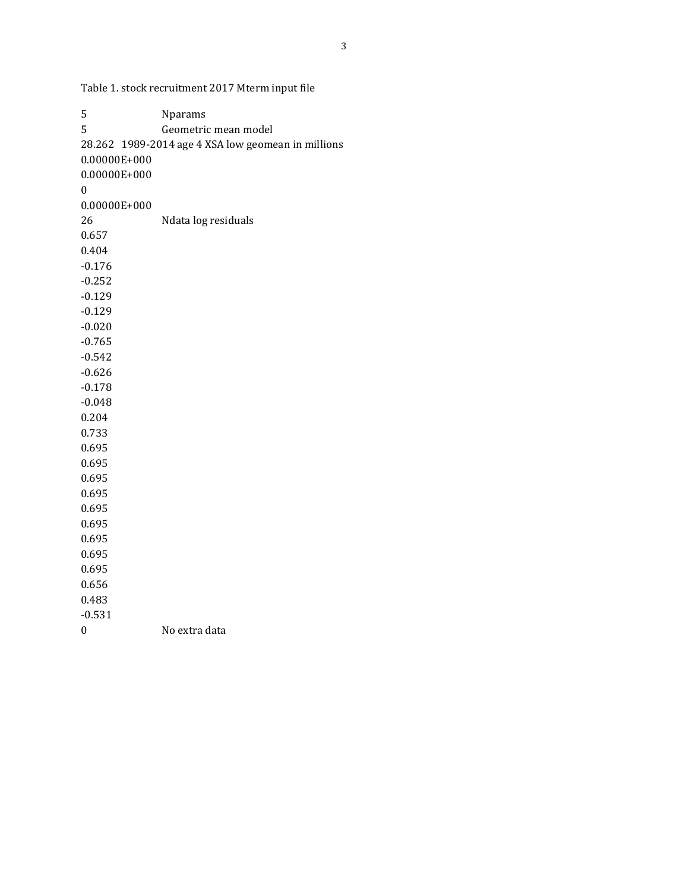Table 1. stock recruitment 2017 Mterm input file

| 5        | Nparams                                            |
|----------|----------------------------------------------------|
| 5        | Geometric mean model                               |
|          | 28.262 1989-2014 age 4 XSA low geomean in millions |
|          | 0.00000E+000                                       |
|          | 0.00000E+000                                       |
| 0        |                                                    |
|          | 0.00000E+000                                       |
| 26       | Ndata log residuals                                |
| 0.657    |                                                    |
| 0.404    |                                                    |
| $-0.176$ |                                                    |
| $-0.252$ |                                                    |
| $-0.129$ |                                                    |
| $-0.129$ |                                                    |
| $-0.020$ |                                                    |
| $-0.765$ |                                                    |
| $-0.542$ |                                                    |
| $-0.626$ |                                                    |
| $-0.178$ |                                                    |
| $-0.048$ |                                                    |
| 0.204    |                                                    |
| 0.733    |                                                    |
| 0.695    |                                                    |
| 0.695    |                                                    |
| 0.695    |                                                    |
| 0.695    |                                                    |
| 0.695    |                                                    |
| 0.695    |                                                    |
| 0.695    |                                                    |
| 0.695    |                                                    |
| 0.695    |                                                    |
| 0.656    |                                                    |
| 0.483    |                                                    |
| $-0.531$ |                                                    |
| 0        | No extra data                                      |
|          |                                                    |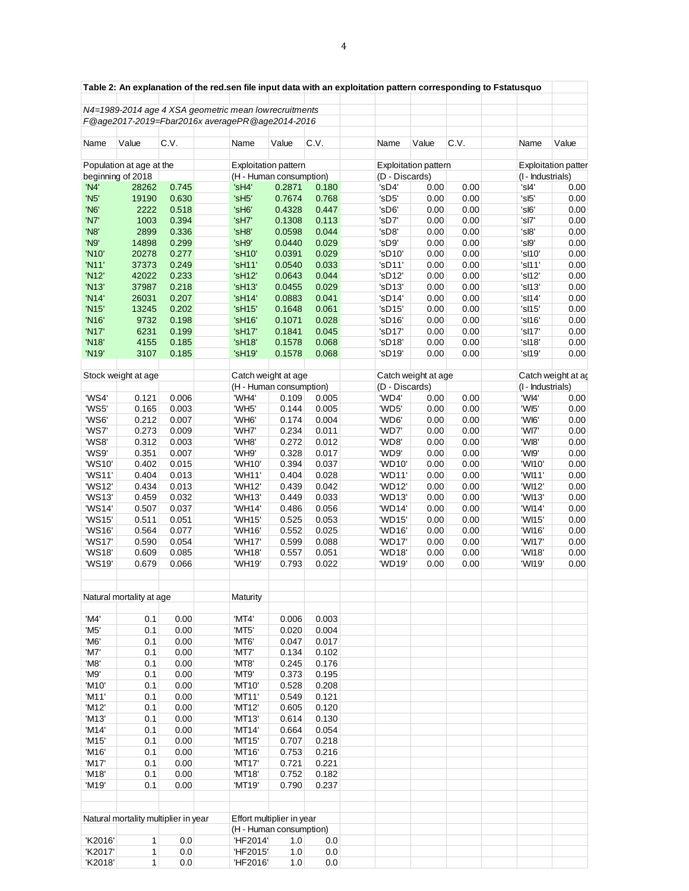|                    |                                      |       |  |                                                       |        |                | Table 2: An explanation of the red.sen file input data with an exploitation pattern corresponding to Fstatusquo |                             |      |                                         |                            |
|--------------------|--------------------------------------|-------|--|-------------------------------------------------------|--------|----------------|-----------------------------------------------------------------------------------------------------------------|-----------------------------|------|-----------------------------------------|----------------------------|
|                    |                                      |       |  | N4=1989-2014 age 4 XSA geometric mean lowrecruitments |        |                |                                                                                                                 |                             |      |                                         |                            |
|                    |                                      |       |  | F@age2017-2019=Fbar2016x averagePR@age2014-2016       |        |                |                                                                                                                 |                             |      |                                         |                            |
|                    |                                      |       |  |                                                       |        |                |                                                                                                                 |                             |      |                                         |                            |
| Name               | Value                                | C.V.  |  | Name                                                  | Value  | C.V.           | Name                                                                                                            | Value                       | C.V. | Name                                    | Value                      |
|                    | Population at age at the             |       |  | <b>Exploitation pattern</b>                           |        |                |                                                                                                                 | <b>Exploitation pattern</b> |      |                                         | <b>Exploitation patter</b> |
|                    | beginning of 2018                    |       |  | (H - Human consumption)                               |        |                | (D - Discards)                                                                                                  |                             |      | (I - Industrials)                       |                            |
| 'N4'               | 28262                                | 0.745 |  | 'sH4'                                                 | 0.2871 | 0.180          | 'sD4'                                                                                                           | 0.00                        | 0.00 | 'sl4'                                   | 0.00                       |
| 'N <sub>5</sub> '  | 19190                                | 0.630 |  | 'sH5'                                                 | 0.7674 | 0.768          | 'sD5'                                                                                                           | 0.00                        | 0.00 | 'sl5'                                   | 0.00                       |
| 'N <sub>6</sub> '  | 2222                                 | 0.518 |  | 'sH <sub>6</sub> '                                    | 0.4328 | 0.447          | 'sD6'                                                                                                           | 0.00                        | 0.00 | 'sl6'                                   | 0.00                       |
| 'N7'               | 1003                                 | 0.394 |  | 'sH7'                                                 | 0.1308 | 0.113          | 'sD7'                                                                                                           | 0.00                        | 0.00 | 'sl7'                                   | 0.00                       |
| 'N8'               | 2899                                 | 0.336 |  | 'sH8'                                                 | 0.0598 | 0.044          | 'sD8'                                                                                                           | 0.00                        | 0.00 | 'sl8'                                   | 0.00                       |
| 'N9'               | 14898                                | 0.299 |  | 'sH9'                                                 | 0.0440 | 0.029          | 'sD9'                                                                                                           | 0.00                        | 0.00 | 'sl9'                                   | 0.00                       |
| 'N10'              | 20278                                | 0.277 |  | 'sH10'                                                | 0.0391 | 0.029          | 'sD10'                                                                                                          | 0.00                        | 0.00 | 'sl10'                                  | 0.00                       |
| 'N11'              | 37373                                | 0.249 |  | 'sH11'                                                | 0.0540 | 0.033          | 'sD11'                                                                                                          | 0.00                        | 0.00 | 'sl11'                                  | 0.00                       |
| 'N12'              | 42022                                | 0.233 |  | 'sH12'                                                | 0.0643 | 0.044          | 'sD12'                                                                                                          | 0.00                        | 0.00 | 'sl12'                                  | 0.00                       |
| 'N13'              | 37987                                | 0.218 |  | 'sH13'                                                | 0.0455 | 0.029          | 'sD13'                                                                                                          | 0.00                        | 0.00 | 's 113'                                 | 0.00                       |
| 'N14'              | 26031                                | 0.207 |  | 'sH14'                                                | 0.0883 | 0.041          | 'sD14'                                                                                                          | 0.00                        | 0.00 | 'sl14'                                  | 0.00                       |
| 'N15'              | 13245                                | 0.202 |  | 'sH15'                                                | 0.1648 | 0.061          | 'sD15'                                                                                                          | 0.00                        | 0.00 | 'sl15'                                  | 0.00                       |
| 'N16'              | 9732                                 | 0.198 |  | 'sH16'                                                | 0.1071 | 0.028          | 'sD16'                                                                                                          | 0.00                        | 0.00 | 'sl16'                                  | 0.00                       |
| 'N17'              | 6231                                 | 0.199 |  | 'sH17'                                                | 0.1841 | 0.045          | 'sD17'                                                                                                          | 0.00                        | 0.00 | 'sl17'                                  | 0.00                       |
| 'N18'              | 4155                                 | 0.185 |  | 'sH18'                                                | 0.1578 | 0.068          | 'sD18'                                                                                                          | 0.00                        | 0.00 | 'sl18'                                  | 0.00                       |
| 'N <sub>19</sub> ' | 3107                                 | 0.185 |  | 'sH19'                                                | 0.1578 | 0.068          | 'sD19'                                                                                                          | 0.00                        | 0.00 | 'sl19'                                  | 0.00                       |
|                    |                                      |       |  |                                                       |        |                |                                                                                                                 |                             |      |                                         |                            |
|                    | Stock weight at age                  |       |  | Catch weight at age                                   |        |                |                                                                                                                 | Catch weight at age         |      |                                         |                            |
|                    |                                      |       |  | (H - Human consumption)                               |        |                | (D - Discards)                                                                                                  |                             |      | Catch weight at ag<br>(I - Industrials) |                            |
| 'WS4'              | 0.121                                | 0.006 |  | 'WH4'                                                 | 0.109  | 0.005          | 'WD4'                                                                                                           | 0.00                        | 0.00 | 'WI4'                                   | 0.00                       |
| 'WS5'              | 0.165                                | 0.003 |  | 'WH5'                                                 | 0.144  | 0.005          | 'WD5'                                                                                                           | 0.00                        | 0.00 | 'WI5'                                   | 0.00                       |
| 'WS6'              | 0.212                                | 0.007 |  | 'WH6'                                                 | 0.174  | 0.004          | 'WD6'                                                                                                           | 0.00                        | 0.00 | 'WI6'                                   | 0.00                       |
| 'WS7'              | 0.273                                | 0.009 |  | 'WH7'                                                 | 0.234  | 0.011          | 'WD7'                                                                                                           | 0.00                        | 0.00 | 'WI7'                                   | 0.00                       |
| 'WS8'              | 0.312                                | 0.003 |  | 'WH8'                                                 | 0.272  | 0.012          | 'WD8'                                                                                                           | 0.00                        | 0.00 | 'WI8'                                   | 0.00                       |
| 'WS9'              | 0.351                                | 0.007 |  | 'WH9'                                                 | 0.328  | 0.017          | 'WD9'                                                                                                           | 0.00                        | 0.00 | 'WI9'                                   | 0.00                       |
|                    |                                      |       |  | 'WH10'                                                |        |                | 'WD10'                                                                                                          |                             |      | 'WI10'                                  |                            |
| 'WS10'<br>'WS11'   | 0.402                                | 0.015 |  | 'WH11'                                                | 0.394  | 0.037<br>0.028 |                                                                                                                 | 0.00                        | 0.00 |                                         | 0.00                       |
|                    | 0.404                                | 0.013 |  |                                                       | 0.404  |                | 'WD11'                                                                                                          | 0.00                        | 0.00 | 'WI11'<br>'WI12'                        | 0.00                       |
| 'WS12'             | 0.434                                | 0.013 |  | 'WH12'                                                | 0.439  | 0.042          | 'WD12'                                                                                                          | 0.00                        | 0.00 |                                         | 0.00                       |
| 'WS13'             | 0.459                                | 0.032 |  | 'WH13'                                                | 0.449  | 0.033          | 'WD13'                                                                                                          | 0.00                        | 0.00 | 'WI13'                                  | 0.00                       |
| 'WS14'             | 0.507                                | 0.037 |  | 'WH14'                                                | 0.486  | 0.056          | 'WD14'                                                                                                          | 0.00                        | 0.00 | 'WI14'                                  | 0.00                       |
| 'WS15'             | 0.511                                | 0.051 |  | 'WH15'                                                | 0.525  | 0.053          | 'WD15'<br>'WD16'                                                                                                | 0.00                        | 0.00 | 'WI15'                                  | 0.00                       |
| 'WS16'             | 0.564                                | 0.077 |  | 'WH16'                                                | 0.552  | 0.025          | 'WD17'                                                                                                          | 0.00                        | 0.00 | 'WI16'                                  | 0.00                       |
| 'WS17'             | 0.590                                | 0.054 |  | 'WH17'                                                | 0.599  | 0.088          |                                                                                                                 | 0.00                        | 0.00 | 'WI17'                                  | 0.00                       |
| 'WS18'             | 0.609                                | 0.085 |  | 'WH18'                                                | 0.557  | 0.051          | 'WD18'                                                                                                          | 0.00                        | 0.00 | 'WI18'                                  | 0.00                       |
| 'WS19'             | 0.679                                | 0.066 |  | 'WH19'                                                | 0.793  | 0.022          | 'WD19'                                                                                                          | 0.00                        | 0.00 | 'WI19'                                  | 0.00                       |
|                    |                                      |       |  |                                                       |        |                |                                                                                                                 |                             |      |                                         |                            |
|                    | Natural mortality at age             |       |  | <b>Maturity</b>                                       |        |                |                                                                                                                 |                             |      |                                         |                            |
| 'M4'               | 0.1                                  | 0.00  |  | 'MT4'                                                 | 0.006  | 0.003          |                                                                                                                 |                             |      |                                         |                            |
| 'M5'               | 0.1                                  | 0.00  |  | 'MT5'                                                 | 0.020  | 0.004          |                                                                                                                 |                             |      |                                         |                            |
| 'M6'               | 0.1                                  | 0.00  |  | 'MT6'                                                 | 0.047  | 0.017          |                                                                                                                 |                             |      |                                         |                            |
| 'M7'               | 0.1                                  | 0.00  |  | 'MT7'                                                 | 0.134  | 0.102          |                                                                                                                 |                             |      |                                         |                            |
| 'M8'               | 0.1                                  | 0.00  |  | 'MT8'                                                 | 0.245  | 0.176          |                                                                                                                 |                             |      |                                         |                            |
| 'M9'               | 0.1                                  | 0.00  |  | 'MT9'                                                 | 0.373  | 0.195          |                                                                                                                 |                             |      |                                         |                            |
| 'M10'              | 0.1                                  | 0.00  |  | 'MT10'                                                | 0.528  | 0.208          |                                                                                                                 |                             |      |                                         |                            |
| 'M11'              | 0.1                                  | 0.00  |  | 'MT11'                                                | 0.549  | 0.121          |                                                                                                                 |                             |      |                                         |                            |
| 'M12'              | 0.1                                  | 0.00  |  | 'MT12'                                                | 0.605  | 0.120          |                                                                                                                 |                             |      |                                         |                            |
| 'M13'              | 0.1                                  | 0.00  |  | 'MT13'                                                | 0.614  | 0.130          |                                                                                                                 |                             |      |                                         |                            |
| 'M14'              | 0.1                                  | 0.00  |  | 'MT14'                                                | 0.664  | 0.054          |                                                                                                                 |                             |      |                                         |                            |
| 'M15'              | 0.1                                  | 0.00  |  | 'MT15'                                                | 0.707  | 0.218          |                                                                                                                 |                             |      |                                         |                            |
| 'M16'              | 0.1                                  | 0.00  |  | 'MT16'                                                | 0.753  | 0.216          |                                                                                                                 |                             |      |                                         |                            |
| 'M17'              | 0.1                                  | 0.00  |  | 'MT17'                                                | 0.721  | 0.221          |                                                                                                                 |                             |      |                                         |                            |
|                    |                                      |       |  |                                                       |        |                |                                                                                                                 |                             |      |                                         |                            |
| 'M18'              | 0.1                                  | 0.00  |  | 'MT18'                                                | 0.752  | 0.182          |                                                                                                                 |                             |      |                                         |                            |
| 'M19'              | 0.1                                  | 0.00  |  | 'MT19'                                                | 0.790  | 0.237          |                                                                                                                 |                             |      |                                         |                            |
|                    |                                      |       |  |                                                       |        |                |                                                                                                                 |                             |      |                                         |                            |
|                    | Natural mortality multiplier in year |       |  | Effort multiplier in year                             |        |                |                                                                                                                 |                             |      |                                         |                            |
|                    |                                      |       |  | (H - Human consumption)                               |        |                |                                                                                                                 |                             |      |                                         |                            |
| 'K2016'            | $\mathbf{1}$                         | 0.0   |  | 'HF2014'                                              | 1.0    | 0.0            |                                                                                                                 |                             |      |                                         |                            |
| 'K2017'            | 1                                    | 0.0   |  | 'HF2015'                                              | 1.0    | 0.0            |                                                                                                                 |                             |      |                                         |                            |
| 'K2018'            | 1                                    | 0.0   |  | 'HF2016'                                              | 1.0    | 0.0            |                                                                                                                 |                             |      |                                         |                            |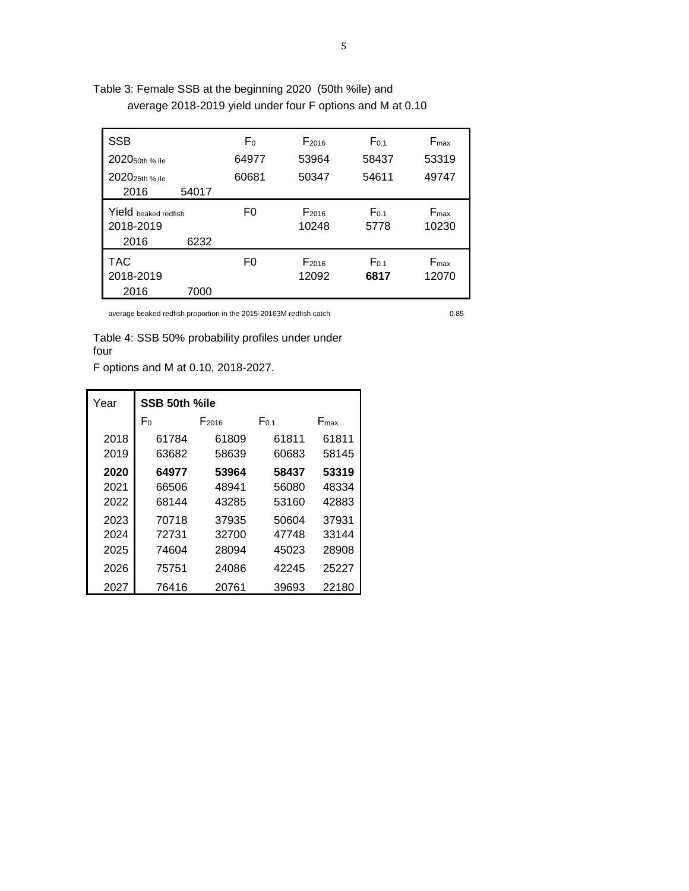| Table 3: Female SSB at the beginning 2020 (50th %ile) and |                                                            |
|-----------------------------------------------------------|------------------------------------------------------------|
|                                                           | average 2018-2019 yield under four F options and M at 0.10 |

| <b>SSB</b><br>2020 <sub>50th</sub> % ile  |       | F <sub>0</sub><br>64977 | F <sub>2016</sub><br>53964 | $F_{0.1}$<br>58437 | $F_{\text{max}}$<br>53319 |
|-------------------------------------------|-------|-------------------------|----------------------------|--------------------|---------------------------|
| 2020 <sub>25th</sub> % ile<br>2016        | 54017 | 60681                   | 50347                      | 54611              | 49747                     |
| Yield beaked redfish<br>2018-2019<br>2016 | 6232  | F0                      | F <sub>2016</sub><br>10248 | $F_{0.1}$<br>5778  | $F_{\text{max}}$<br>10230 |
| <b>TAC</b><br>2018-2019<br>2016           | 7000  | F0                      | F <sub>2016</sub><br>12092 | $F_{0.1}$<br>6817  | $F_{\text{max}}$<br>12070 |

average beaked redfish proportion in the 2015-20163M redfish catch 0.85

Table 4: SSB 50% probability profiles under under four

F options and M at 0.10, 2018-2027.

| Year | SSB 50th %ile  |                   |           |                  |  |  |  |
|------|----------------|-------------------|-----------|------------------|--|--|--|
|      | F <sub>0</sub> | F <sub>2016</sub> | $F_{0.1}$ | $F_{\text{max}}$ |  |  |  |
| 2018 | 61784          | 61809             | 61811     | 61811            |  |  |  |
| 2019 | 63682          | 58639             | 60683     | 58145            |  |  |  |
| 2020 | 64977          | 53964             | 58437     | 53319            |  |  |  |
| 2021 | 66506          | 48941             | 56080     | 48334            |  |  |  |
| 2022 | 68144          | 43285             | 53160     | 42883            |  |  |  |
| 2023 | 70718          | 37935             | 50604     | 37931            |  |  |  |
| 2024 | 72731          | 32700             | 47748     | 33144            |  |  |  |
| 2025 | 74604          | 28094             | 45023     | 28908            |  |  |  |
| 2026 | 75751          | 24086             | 42245     | 25227            |  |  |  |
| 2027 | 76416          | 20761             | 39693     | 22180            |  |  |  |